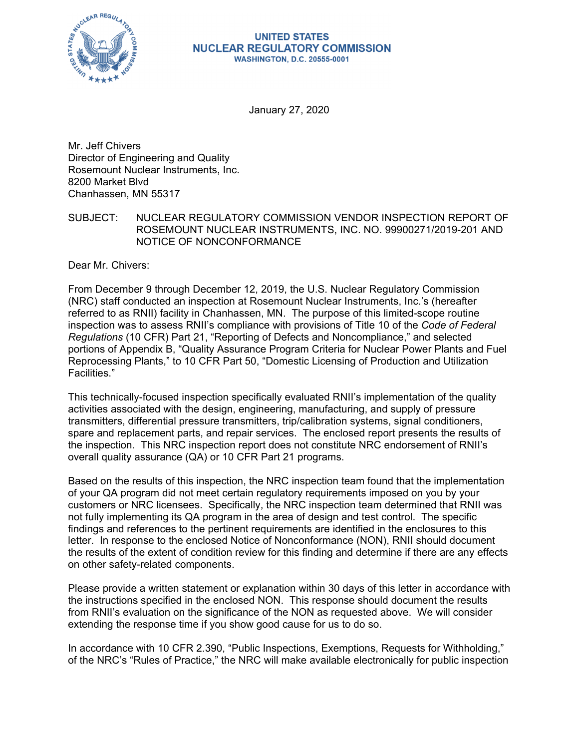

#### **UNITED STATES NUCLEAR REGULATORY COMMISSION WASHINGTON, D.C. 20555-0001**

January 27, 2020

Mr. Jeff Chivers Director of Engineering and Quality Rosemount Nuclear Instruments, Inc. 8200 Market Blvd Chanhassen, MN 55317

SUBJECT: NUCLEAR REGULATORY COMMISSION VENDOR INSPECTION REPORT OF ROSEMOUNT NUCLEAR INSTRUMENTS, INC. NO. 99900271/2019-201 AND NOTICE OF NONCONFORMANCE

Dear Mr. Chivers:

From December 9 through December 12, 2019, the U.S. Nuclear Regulatory Commission (NRC) staff conducted an inspection at Rosemount Nuclear Instruments, Inc.'s (hereafter referred to as RNII) facility in Chanhassen, MN. The purpose of this limited-scope routine inspection was to assess RNII's compliance with provisions of Title 10 of the *Code of Federal Regulations* (10 CFR) Part 21, "Reporting of Defects and Noncompliance," and selected portions of Appendix B, "Quality Assurance Program Criteria for Nuclear Power Plants and Fuel Reprocessing Plants," to 10 CFR Part 50, "Domestic Licensing of Production and Utilization Facilities."

This technically-focused inspection specifically evaluated RNII's implementation of the quality activities associated with the design, engineering, manufacturing, and supply of pressure transmitters, differential pressure transmitters, trip/calibration systems, signal conditioners, spare and replacement parts, and repair services. The enclosed report presents the results of the inspection. This NRC inspection report does not constitute NRC endorsement of RNII's overall quality assurance (QA) or 10 CFR Part 21 programs.

Based on the results of this inspection, the NRC inspection team found that the implementation of your QA program did not meet certain regulatory requirements imposed on you by your customers or NRC licensees. Specifically, the NRC inspection team determined that RNII was not fully implementing its QA program in the area of design and test control. The specific findings and references to the pertinent requirements are identified in the enclosures to this letter. In response to the enclosed Notice of Nonconformance (NON), RNII should document the results of the extent of condition review for this finding and determine if there are any effects on other safety-related components.

Please provide a written statement or explanation within 30 days of this letter in accordance with the instructions specified in the enclosed NON. This response should document the results from RNII's evaluation on the significance of the NON as requested above. We will consider extending the response time if you show good cause for us to do so.

In accordance with 10 CFR 2.390, "Public Inspections, Exemptions, Requests for Withholding," of the NRC's "Rules of Practice," the NRC will make available electronically for public inspection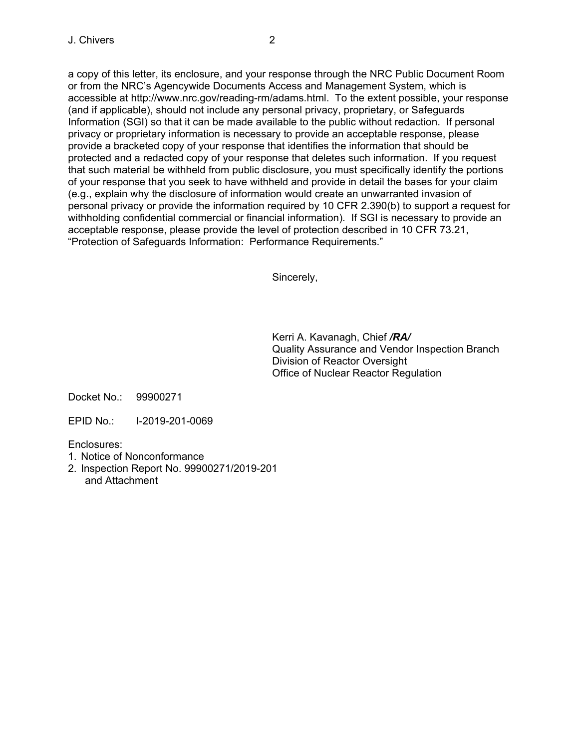a copy of this letter, its enclosure, and your response through the NRC Public Document Room or from the NRC's Agencywide Documents Access and Management System, which is accessible at http://www.nrc.gov/reading-rm/adams.html. To the extent possible, your response (and if applicable), should not include any personal privacy, proprietary, or Safeguards Information (SGI) so that it can be made available to the public without redaction. If personal privacy or proprietary information is necessary to provide an acceptable response, please provide a bracketed copy of your response that identifies the information that should be protected and a redacted copy of your response that deletes such information. If you request that such material be withheld from public disclosure, you must specifically identify the portions of your response that you seek to have withheld and provide in detail the bases for your claim (e.g., explain why the disclosure of information would create an unwarranted invasion of personal privacy or provide the information required by 10 CFR 2.390(b) to support a request for withholding confidential commercial or financial information). If SGI is necessary to provide an acceptable response, please provide the level of protection described in 10 CFR 73.21, "Protection of Safeguards Information: Performance Requirements."

Sincerely,

Kerri A. Kavanagh, Chief */RA/*  Quality Assurance and Vendor Inspection Branch Division of Reactor Oversight Office of Nuclear Reactor Regulation

Docket No.: 99900271

EPID No.: I-2019-201-0069

Enclosures:

- 1. Notice of Nonconformance
- 2. Inspection Report No. 99900271/2019-201 and Attachment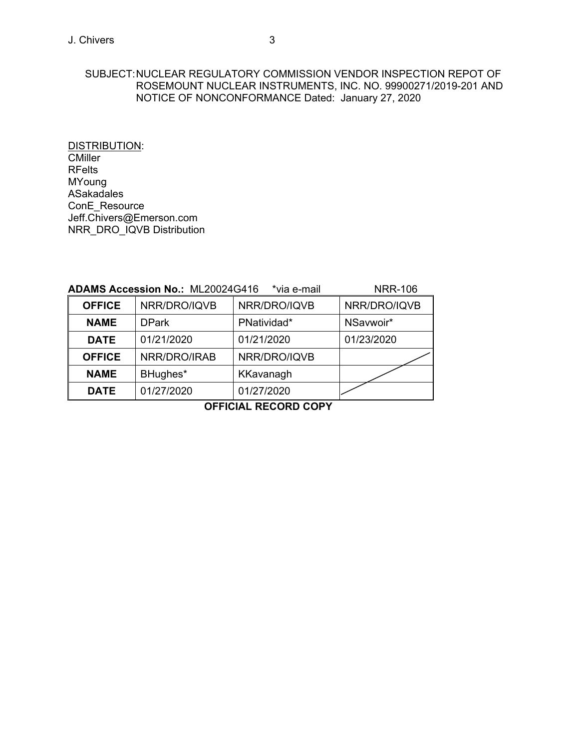### SUBJECT: NUCLEAR REGULATORY COMMISSION VENDOR INSPECTION REPOT OF ROSEMOUNT NUCLEAR INSTRUMENTS, INC. NO. 99900271/2019-201 AND NOTICE OF NONCONFORMANCE Dated: January 27, 2020

DISTRIBUTION: **CMiller** RFelts MYoung ASakadales ConE\_Resource Jeff.Chivers@Emerson.com NRR\_DRO\_IQVB Distribution

| <b>ADAMS Accession No.: ML20024G416</b> | <b>NRR-106</b> |              |              |
|-----------------------------------------|----------------|--------------|--------------|
| <b>OFFICE</b>                           | NRR/DRO/IQVB   | NRR/DRO/IQVB | NRR/DRO/IQVB |
| <b>NAME</b>                             | <b>DPark</b>   | PNatividad*  | NSavwoir*    |
| <b>DATE</b>                             | 01/21/2020     | 01/21/2020   | 01/23/2020   |
| <b>OFFICE</b>                           | NRR/DRO/IRAB   | NRR/DRO/IQVB |              |
| <b>NAME</b>                             | BHughes*       | KKavanagh    |              |
| <b>DATE</b>                             | 01/27/2020     | 01/27/2020   |              |

**OFFICIAL RECORD COPY**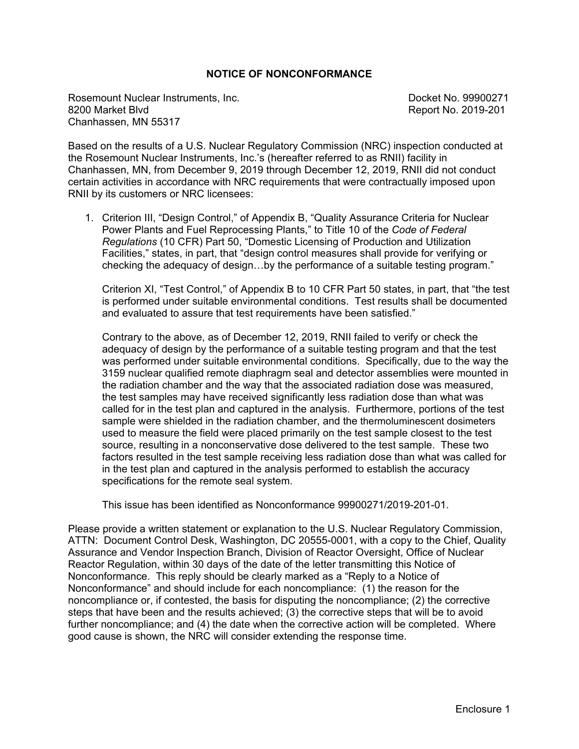## **NOTICE OF NONCONFORMANCE**

Rosemount Nuclear Instruments, Inc. Docket No. 99900271 Chanhassen, MN 55317

Report No. 2019-201

Based on the results of a U.S. Nuclear Regulatory Commission (NRC) inspection conducted at the Rosemount Nuclear Instruments, Inc.'s (hereafter referred to as RNII) facility in Chanhassen, MN, from December 9, 2019 through December 12, 2019, RNII did not conduct certain activities in accordance with NRC requirements that were contractually imposed upon RNII by its customers or NRC licensees:

1. Criterion III, "Design Control," of Appendix B, "Quality Assurance Criteria for Nuclear Power Plants and Fuel Reprocessing Plants," to Title 10 of the *Code of Federal Regulations* (10 CFR) Part 50, "Domestic Licensing of Production and Utilization Facilities," states, in part, that "design control measures shall provide for verifying or checking the adequacy of design…by the performance of a suitable testing program."

Criterion XI, "Test Control," of Appendix B to 10 CFR Part 50 states, in part, that "the test is performed under suitable environmental conditions. Test results shall be documented and evaluated to assure that test requirements have been satisfied."

Contrary to the above, as of December 12, 2019, RNII failed to verify or check the adequacy of design by the performance of a suitable testing program and that the test was performed under suitable environmental conditions. Specifically, due to the way the 3159 nuclear qualified remote diaphragm seal and detector assemblies were mounted in the radiation chamber and the way that the associated radiation dose was measured, the test samples may have received significantly less radiation dose than what was called for in the test plan and captured in the analysis. Furthermore, portions of the test sample were shielded in the radiation chamber, and the thermoluminescent dosimeters used to measure the field were placed primarily on the test sample closest to the test source, resulting in a nonconservative dose delivered to the test sample. These two factors resulted in the test sample receiving less radiation dose than what was called for in the test plan and captured in the analysis performed to establish the accuracy specifications for the remote seal system.

This issue has been identified as Nonconformance 99900271/2019-201-01.

Please provide a written statement or explanation to the U.S. Nuclear Regulatory Commission, ATTN: Document Control Desk, Washington, DC 20555-0001, with a copy to the Chief, Quality Assurance and Vendor Inspection Branch, Division of Reactor Oversight, Office of Nuclear Reactor Regulation, within 30 days of the date of the letter transmitting this Notice of Nonconformance. This reply should be clearly marked as a "Reply to a Notice of Nonconformance" and should include for each noncompliance: (1) the reason for the noncompliance or, if contested, the basis for disputing the noncompliance; (2) the corrective steps that have been and the results achieved; (3) the corrective steps that will be to avoid further noncompliance; and (4) the date when the corrective action will be completed. Where good cause is shown, the NRC will consider extending the response time.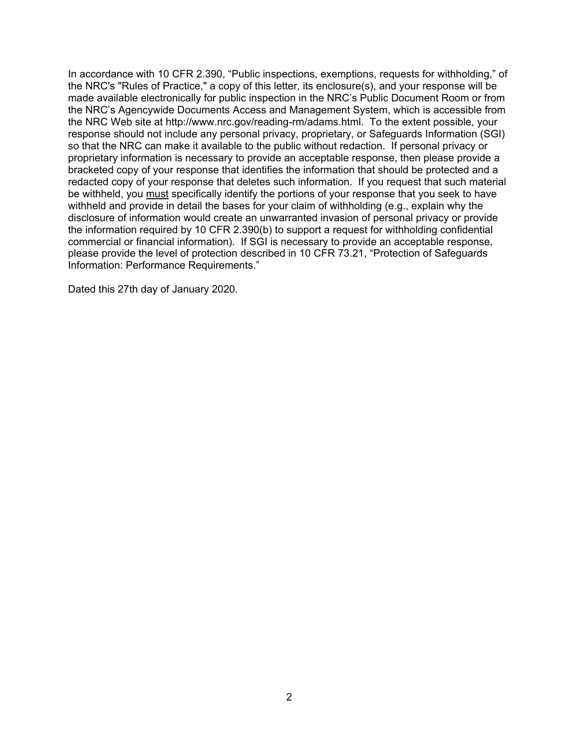In accordance with 10 CFR 2.390, "Public inspections, exemptions, requests for withholding," of the NRC's "Rules of Practice," a copy of this letter, its enclosure(s), and your response will be made available electronically for public inspection in the NRC's Public Document Room or from the NRC's Agencywide Documents Access and Management System, which is accessible from the NRC Web site at http://www.nrc.gov/reading-rm/adams.html. To the extent possible, your response should not include any personal privacy, proprietary, or Safeguards Information (SGI) so that the NRC can make it available to the public without redaction. If personal privacy or proprietary information is necessary to provide an acceptable response, then please provide a bracketed copy of your response that identifies the information that should be protected and a redacted copy of your response that deletes such information. If you request that such material be withheld, you must specifically identify the portions of your response that you seek to have withheld and provide in detail the bases for your claim of withholding (e.g., explain why the disclosure of information would create an unwarranted invasion of personal privacy or provide the information required by 10 CFR 2.390(b) to support a request for withholding confidential commercial or financial information). If SGI is necessary to provide an acceptable response, please provide the level of protection described in 10 CFR 73.21, "Protection of Safeguards Information: Performance Requirements."

Dated this 27th day of January 2020.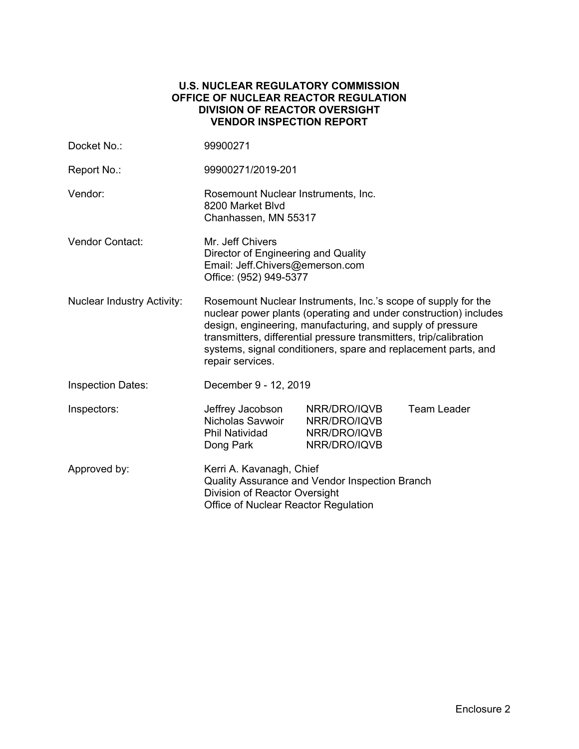#### **U.S. NUCLEAR REGULATORY COMMISSION OFFICE OF NUCLEAR REACTOR REGULATION DIVISION OF REACTOR OVERSIGHT VENDOR INSPECTION REPORT**

| Docket No.:                       | 99900271                                                                                                                                                                                                                                                                                                                                                    |                                                              |                    |
|-----------------------------------|-------------------------------------------------------------------------------------------------------------------------------------------------------------------------------------------------------------------------------------------------------------------------------------------------------------------------------------------------------------|--------------------------------------------------------------|--------------------|
| Report No.:                       | 99900271/2019-201                                                                                                                                                                                                                                                                                                                                           |                                                              |                    |
| Vendor:                           | Rosemount Nuclear Instruments, Inc.<br>8200 Market Blvd<br>Chanhassen, MN 55317                                                                                                                                                                                                                                                                             |                                                              |                    |
| Vendor Contact:                   | Mr. Jeff Chivers<br>Director of Engineering and Quality<br>Email: Jeff.Chivers@emerson.com<br>Office: (952) 949-5377                                                                                                                                                                                                                                        |                                                              |                    |
| <b>Nuclear Industry Activity:</b> | Rosemount Nuclear Instruments, Inc.'s scope of supply for the<br>nuclear power plants (operating and under construction) includes<br>design, engineering, manufacturing, and supply of pressure<br>transmitters, differential pressure transmitters, trip/calibration<br>systems, signal conditioners, spare and replacement parts, and<br>repair services. |                                                              |                    |
| <b>Inspection Dates:</b>          | December 9 - 12, 2019                                                                                                                                                                                                                                                                                                                                       |                                                              |                    |
| Inspectors:                       | Jeffrey Jacobson<br>Nicholas Savwoir<br><b>Phil Natividad</b><br>Dong Park                                                                                                                                                                                                                                                                                  | NRR/DRO/IQVB<br>NRR/DRO/IQVB<br>NRR/DRO/IQVB<br>NRR/DRO/IQVB | <b>Team Leader</b> |
| Approved by:                      | Kerri A. Kavanagh, Chief<br>Quality Assurance and Vendor Inspection Branch<br>Division of Reactor Oversight<br>Office of Nuclear Reactor Regulation                                                                                                                                                                                                         |                                                              |                    |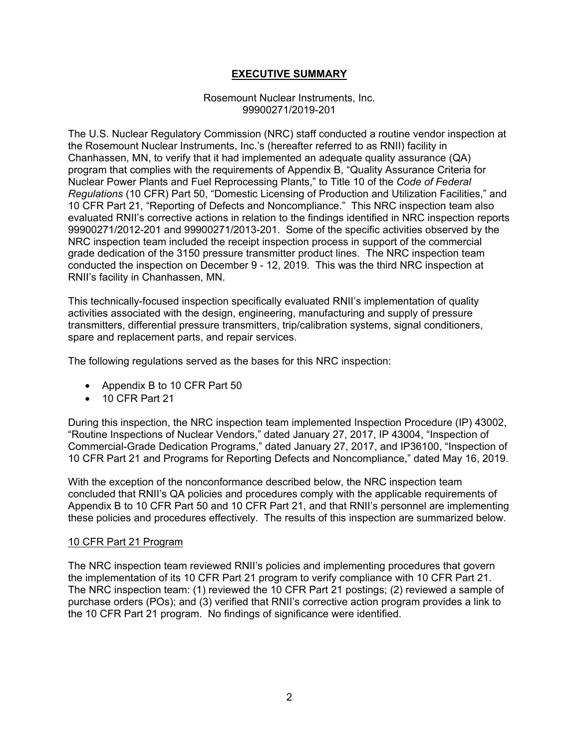## **EXECUTIVE SUMMARY**

#### Rosemount Nuclear Instruments, Inc. 99900271/2019-201

The U.S. Nuclear Regulatory Commission (NRC) staff conducted a routine vendor inspection at the Rosemount Nuclear Instruments, Inc.'s (hereafter referred to as RNII) facility in Chanhassen, MN, to verify that it had implemented an adequate quality assurance (QA) program that complies with the requirements of Appendix B, "Quality Assurance Criteria for Nuclear Power Plants and Fuel Reprocessing Plants," to Title 10 of the *Code of Federal Regulations* (10 CFR) Part 50, "Domestic Licensing of Production and Utilization Facilities," and 10 CFR Part 21, "Reporting of Defects and Noncompliance." This NRC inspection team also evaluated RNII's corrective actions in relation to the findings identified in NRC inspection reports 99900271/2012-201 and 99900271/2013-201. Some of the specific activities observed by the NRC inspection team included the receipt inspection process in support of the commercial grade dedication of the 3150 pressure transmitter product lines. The NRC inspection team conducted the inspection on December 9 - 12, 2019. This was the third NRC inspection at RNII's facility in Chanhassen, MN.

This technically-focused inspection specifically evaluated RNII's implementation of quality activities associated with the design, engineering, manufacturing and supply of pressure transmitters, differential pressure transmitters, trip/calibration systems, signal conditioners, spare and replacement parts, and repair services.

The following regulations served as the bases for this NRC inspection:

- Appendix B to 10 CFR Part 50
- 10 CFR Part 21

During this inspection, the NRC inspection team implemented Inspection Procedure (IP) 43002, "Routine Inspections of Nuclear Vendors," dated January 27, 2017, IP 43004, "Inspection of Commercial-Grade Dedication Programs," dated January 27, 2017, and IP36100, "Inspection of 10 CFR Part 21 and Programs for Reporting Defects and Noncompliance," dated May 16, 2019.

With the exception of the nonconformance described below, the NRC inspection team concluded that RNII's QA policies and procedures comply with the applicable requirements of Appendix B to 10 CFR Part 50 and 10 CFR Part 21, and that RNII's personnel are implementing these policies and procedures effectively. The results of this inspection are summarized below.

## 10 CFR Part 21 Program

The NRC inspection team reviewed RNII's policies and implementing procedures that govern the implementation of its 10 CFR Part 21 program to verify compliance with 10 CFR Part 21. The NRC inspection team: (1) reviewed the 10 CFR Part 21 postings; (2) reviewed a sample of purchase orders (POs); and (3) verified that RNII's corrective action program provides a link to the 10 CFR Part 21 program. No findings of significance were identified.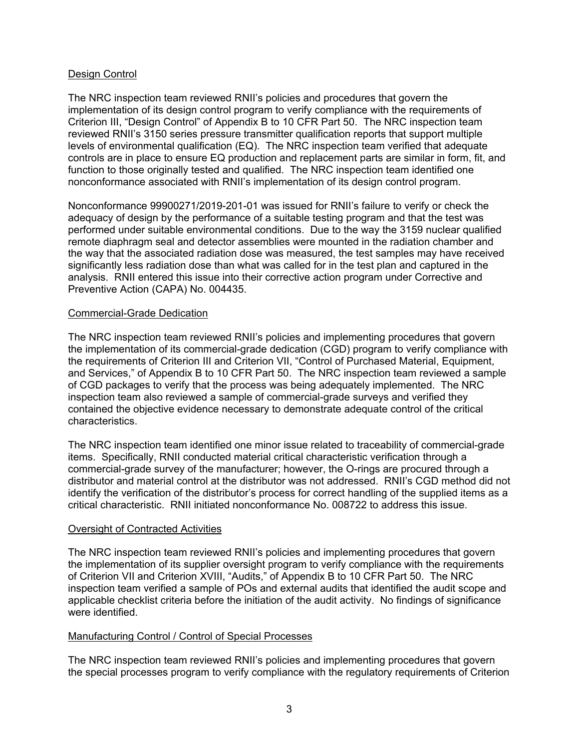## Design Control

The NRC inspection team reviewed RNII's policies and procedures that govern the implementation of its design control program to verify compliance with the requirements of Criterion III, "Design Control" of Appendix B to 10 CFR Part 50. The NRC inspection team reviewed RNII's 3150 series pressure transmitter qualification reports that support multiple levels of environmental qualification (EQ). The NRC inspection team verified that adequate controls are in place to ensure EQ production and replacement parts are similar in form, fit, and function to those originally tested and qualified. The NRC inspection team identified one nonconformance associated with RNII's implementation of its design control program.

Nonconformance 99900271/2019-201-01 was issued for RNII's failure to verify or check the adequacy of design by the performance of a suitable testing program and that the test was performed under suitable environmental conditions. Due to the way the 3159 nuclear qualified remote diaphragm seal and detector assemblies were mounted in the radiation chamber and the way that the associated radiation dose was measured, the test samples may have received significantly less radiation dose than what was called for in the test plan and captured in the analysis. RNII entered this issue into their corrective action program under Corrective and Preventive Action (CAPA) No. 004435.

#### Commercial-Grade Dedication

The NRC inspection team reviewed RNII's policies and implementing procedures that govern the implementation of its commercial-grade dedication (CGD) program to verify compliance with the requirements of Criterion III and Criterion VII, "Control of Purchased Material, Equipment, and Services," of Appendix B to 10 CFR Part 50. The NRC inspection team reviewed a sample of CGD packages to verify that the process was being adequately implemented. The NRC inspection team also reviewed a sample of commercial-grade surveys and verified they contained the objective evidence necessary to demonstrate adequate control of the critical characteristics.

The NRC inspection team identified one minor issue related to traceability of commercial-grade items. Specifically, RNII conducted material critical characteristic verification through a commercial-grade survey of the manufacturer; however, the O-rings are procured through a distributor and material control at the distributor was not addressed. RNII's CGD method did not identify the verification of the distributor's process for correct handling of the supplied items as a critical characteristic. RNII initiated nonconformance No. 008722 to address this issue.

## Oversight of Contracted Activities

The NRC inspection team reviewed RNII's policies and implementing procedures that govern the implementation of its supplier oversight program to verify compliance with the requirements of Criterion VII and Criterion XVIII, "Audits," of Appendix B to 10 CFR Part 50. The NRC inspection team verified a sample of POs and external audits that identified the audit scope and applicable checklist criteria before the initiation of the audit activity. No findings of significance were identified.

## Manufacturing Control / Control of Special Processes

The NRC inspection team reviewed RNII's policies and implementing procedures that govern the special processes program to verify compliance with the regulatory requirements of Criterion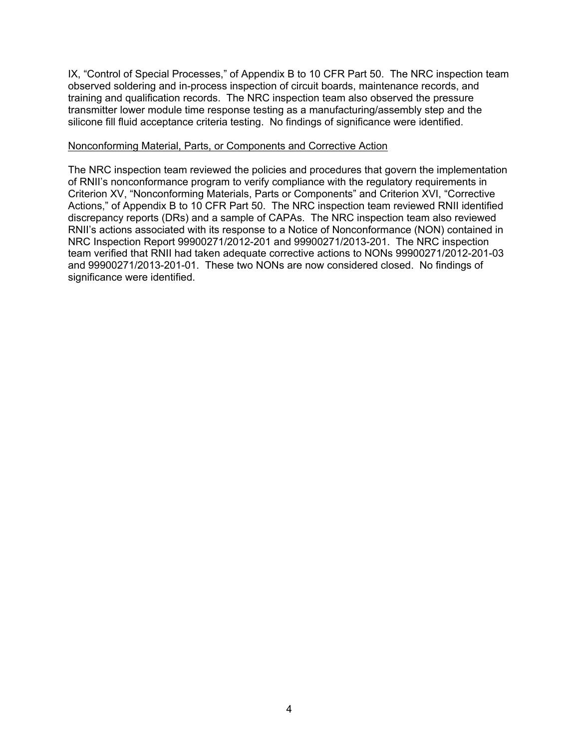IX, "Control of Special Processes," of Appendix B to 10 CFR Part 50. The NRC inspection team observed soldering and in-process inspection of circuit boards, maintenance records, and training and qualification records. The NRC inspection team also observed the pressure transmitter lower module time response testing as a manufacturing/assembly step and the silicone fill fluid acceptance criteria testing. No findings of significance were identified.

#### Nonconforming Material, Parts, or Components and Corrective Action

The NRC inspection team reviewed the policies and procedures that govern the implementation of RNII's nonconformance program to verify compliance with the regulatory requirements in Criterion XV, "Nonconforming Materials, Parts or Components" and Criterion XVI, "Corrective Actions," of Appendix B to 10 CFR Part 50. The NRC inspection team reviewed RNII identified discrepancy reports (DRs) and a sample of CAPAs. The NRC inspection team also reviewed RNII's actions associated with its response to a Notice of Nonconformance (NON) contained in NRC Inspection Report 99900271/2012-201 and 99900271/2013-201. The NRC inspection team verified that RNII had taken adequate corrective actions to NONs 99900271/2012-201-03 and 99900271/2013-201-01. These two NONs are now considered closed. No findings of significance were identified.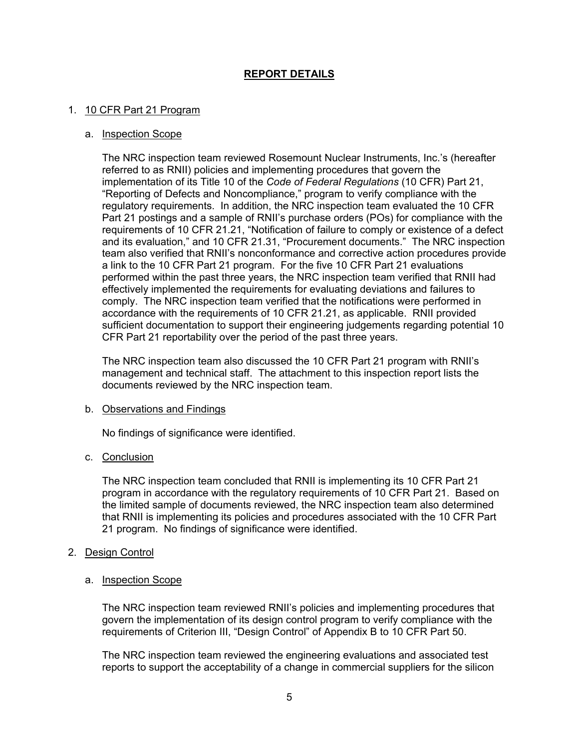## **REPORT DETAILS**

#### 1. 10 CFR Part 21 Program

#### a. Inspection Scope

The NRC inspection team reviewed Rosemount Nuclear Instruments, Inc.'s (hereafter referred to as RNII) policies and implementing procedures that govern the implementation of its Title 10 of the *Code of Federal Regulations* (10 CFR) Part 21, "Reporting of Defects and Noncompliance," program to verify compliance with the regulatory requirements. In addition, the NRC inspection team evaluated the 10 CFR Part 21 postings and a sample of RNII's purchase orders (POs) for compliance with the requirements of 10 CFR 21.21, "Notification of failure to comply or existence of a defect and its evaluation," and 10 CFR 21.31, "Procurement documents." The NRC inspection team also verified that RNII's nonconformance and corrective action procedures provide a link to the 10 CFR Part 21 program. For the five 10 CFR Part 21 evaluations performed within the past three years, the NRC inspection team verified that RNII had effectively implemented the requirements for evaluating deviations and failures to comply. The NRC inspection team verified that the notifications were performed in accordance with the requirements of 10 CFR 21.21, as applicable. RNII provided sufficient documentation to support their engineering judgements regarding potential 10 CFR Part 21 reportability over the period of the past three years.

The NRC inspection team also discussed the 10 CFR Part 21 program with RNII's management and technical staff. The attachment to this inspection report lists the documents reviewed by the NRC inspection team.

#### b. Observations and Findings

No findings of significance were identified.

#### c. Conclusion

The NRC inspection team concluded that RNII is implementing its 10 CFR Part 21 program in accordance with the regulatory requirements of 10 CFR Part 21. Based on the limited sample of documents reviewed, the NRC inspection team also determined that RNII is implementing its policies and procedures associated with the 10 CFR Part 21 program. No findings of significance were identified.

#### 2. Design Control

#### a. Inspection Scope

The NRC inspection team reviewed RNII's policies and implementing procedures that govern the implementation of its design control program to verify compliance with the requirements of Criterion III, "Design Control" of Appendix B to 10 CFR Part 50.

The NRC inspection team reviewed the engineering evaluations and associated test reports to support the acceptability of a change in commercial suppliers for the silicon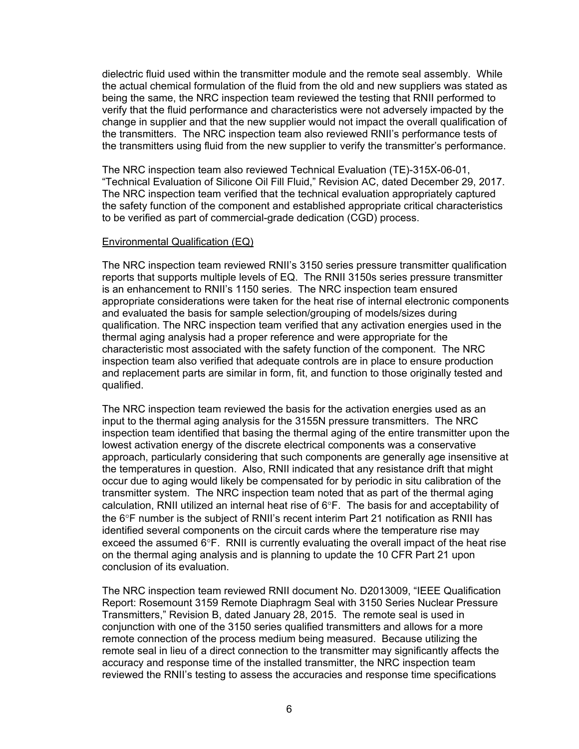dielectric fluid used within the transmitter module and the remote seal assembly. While the actual chemical formulation of the fluid from the old and new suppliers was stated as being the same, the NRC inspection team reviewed the testing that RNII performed to verify that the fluid performance and characteristics were not adversely impacted by the change in supplier and that the new supplier would not impact the overall qualification of the transmitters. The NRC inspection team also reviewed RNII's performance tests of the transmitters using fluid from the new supplier to verify the transmitter's performance.

The NRC inspection team also reviewed Technical Evaluation (TE)-315X-06-01, "Technical Evaluation of Silicone Oil Fill Fluid," Revision AC, dated December 29, 2017. The NRC inspection team verified that the technical evaluation appropriately captured the safety function of the component and established appropriate critical characteristics to be verified as part of commercial-grade dedication (CGD) process.

#### Environmental Qualification (EQ)

The NRC inspection team reviewed RNII's 3150 series pressure transmitter qualification reports that supports multiple levels of EQ. The RNII 3150s series pressure transmitter is an enhancement to RNII's 1150 series. The NRC inspection team ensured appropriate considerations were taken for the heat rise of internal electronic components and evaluated the basis for sample selection/grouping of models/sizes during qualification. The NRC inspection team verified that any activation energies used in the thermal aging analysis had a proper reference and were appropriate for the characteristic most associated with the safety function of the component. The NRC inspection team also verified that adequate controls are in place to ensure production and replacement parts are similar in form, fit, and function to those originally tested and qualified.

The NRC inspection team reviewed the basis for the activation energies used as an input to the thermal aging analysis for the 3155N pressure transmitters. The NRC inspection team identified that basing the thermal aging of the entire transmitter upon the lowest activation energy of the discrete electrical components was a conservative approach, particularly considering that such components are generally age insensitive at the temperatures in question. Also, RNII indicated that any resistance drift that might occur due to aging would likely be compensated for by periodic in situ calibration of the transmitter system. The NRC inspection team noted that as part of the thermal aging calculation, RNII utilized an internal heat rise of  $6^{\circ}F$ . The basis for and acceptability of the 6°F number is the subject of RNII's recent interim Part 21 notification as RNII has identified several components on the circuit cards where the temperature rise may exceed the assumed  $6^{\circ}F$ . RNII is currently evaluating the overall impact of the heat rise on the thermal aging analysis and is planning to update the 10 CFR Part 21 upon conclusion of its evaluation.

The NRC inspection team reviewed RNII document No. D2013009, "IEEE Qualification Report: Rosemount 3159 Remote Diaphragm Seal with 3150 Series Nuclear Pressure Transmitters," Revision B, dated January 28, 2015. The remote seal is used in conjunction with one of the 3150 series qualified transmitters and allows for a more remote connection of the process medium being measured. Because utilizing the remote seal in lieu of a direct connection to the transmitter may significantly affects the accuracy and response time of the installed transmitter, the NRC inspection team reviewed the RNII's testing to assess the accuracies and response time specifications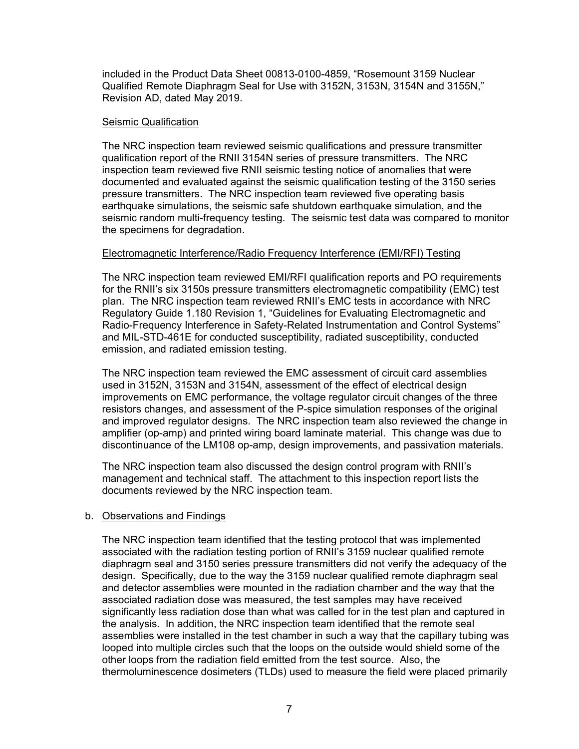included in the Product Data Sheet 00813-0100-4859, "Rosemount 3159 Nuclear Qualified Remote Diaphragm Seal for Use with 3152N, 3153N, 3154N and 3155N," Revision AD, dated May 2019.

#### Seismic Qualification

The NRC inspection team reviewed seismic qualifications and pressure transmitter qualification report of the RNII 3154N series of pressure transmitters. The NRC inspection team reviewed five RNII seismic testing notice of anomalies that were documented and evaluated against the seismic qualification testing of the 3150 series pressure transmitters. The NRC inspection team reviewed five operating basis earthquake simulations, the seismic safe shutdown earthquake simulation, and the seismic random multi-frequency testing. The seismic test data was compared to monitor the specimens for degradation.

## Electromagnetic Interference/Radio Frequency Interference (EMI/RFI) Testing

The NRC inspection team reviewed EMI/RFI qualification reports and PO requirements for the RNII's six 3150s pressure transmitters electromagnetic compatibility (EMC) test plan. The NRC inspection team reviewed RNII's EMC tests in accordance with NRC Regulatory Guide 1.180 Revision 1, "Guidelines for Evaluating Electromagnetic and Radio-Frequency Interference in Safety-Related Instrumentation and Control Systems" and MIL-STD-461E for conducted susceptibility, radiated susceptibility, conducted emission, and radiated emission testing.

The NRC inspection team reviewed the EMC assessment of circuit card assemblies used in 3152N, 3153N and 3154N, assessment of the effect of electrical design improvements on EMC performance, the voltage regulator circuit changes of the three resistors changes, and assessment of the P-spice simulation responses of the original and improved regulator designs. The NRC inspection team also reviewed the change in amplifier (op-amp) and printed wiring board laminate material. This change was due to discontinuance of the LM108 op-amp, design improvements, and passivation materials.

The NRC inspection team also discussed the design control program with RNII's management and technical staff. The attachment to this inspection report lists the documents reviewed by the NRC inspection team.

#### b. Observations and Findings

The NRC inspection team identified that the testing protocol that was implemented associated with the radiation testing portion of RNII's 3159 nuclear qualified remote diaphragm seal and 3150 series pressure transmitters did not verify the adequacy of the design. Specifically, due to the way the 3159 nuclear qualified remote diaphragm seal and detector assemblies were mounted in the radiation chamber and the way that the associated radiation dose was measured, the test samples may have received significantly less radiation dose than what was called for in the test plan and captured in the analysis. In addition, the NRC inspection team identified that the remote seal assemblies were installed in the test chamber in such a way that the capillary tubing was looped into multiple circles such that the loops on the outside would shield some of the other loops from the radiation field emitted from the test source. Also, the thermoluminescence dosimeters (TLDs) used to measure the field were placed primarily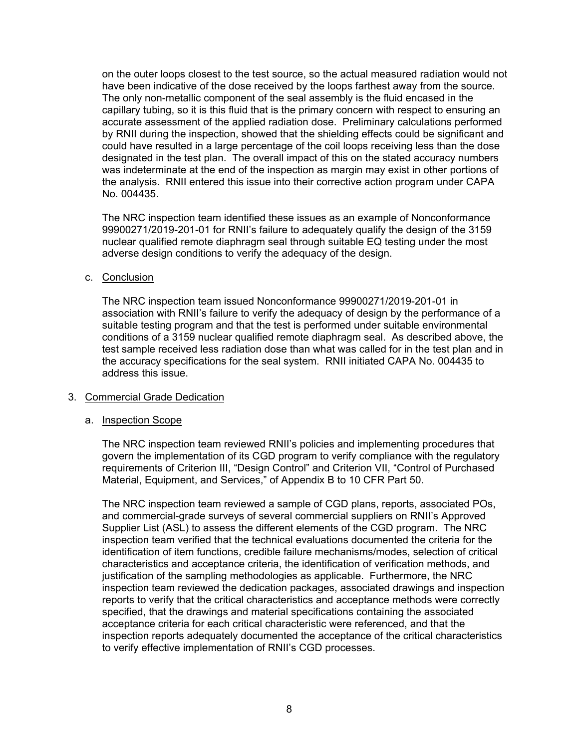on the outer loops closest to the test source, so the actual measured radiation would not have been indicative of the dose received by the loops farthest away from the source. The only non-metallic component of the seal assembly is the fluid encased in the capillary tubing, so it is this fluid that is the primary concern with respect to ensuring an accurate assessment of the applied radiation dose. Preliminary calculations performed by RNII during the inspection, showed that the shielding effects could be significant and could have resulted in a large percentage of the coil loops receiving less than the dose designated in the test plan. The overall impact of this on the stated accuracy numbers was indeterminate at the end of the inspection as margin may exist in other portions of the analysis. RNII entered this issue into their corrective action program under CAPA No. 004435.

The NRC inspection team identified these issues as an example of Nonconformance 99900271/2019-201-01 for RNII's failure to adequately qualify the design of the 3159 nuclear qualified remote diaphragm seal through suitable EQ testing under the most adverse design conditions to verify the adequacy of the design.

c. Conclusion

The NRC inspection team issued Nonconformance 99900271/2019-201-01 in association with RNII's failure to verify the adequacy of design by the performance of a suitable testing program and that the test is performed under suitable environmental conditions of a 3159 nuclear qualified remote diaphragm seal. As described above, the test sample received less radiation dose than what was called for in the test plan and in the accuracy specifications for the seal system. RNII initiated CAPA No. 004435 to address this issue.

## 3. Commercial Grade Dedication

#### a. Inspection Scope

The NRC inspection team reviewed RNII's policies and implementing procedures that govern the implementation of its CGD program to verify compliance with the regulatory requirements of Criterion III, "Design Control" and Criterion VII, "Control of Purchased Material, Equipment, and Services," of Appendix B to 10 CFR Part 50.

The NRC inspection team reviewed a sample of CGD plans, reports, associated POs, and commercial-grade surveys of several commercial suppliers on RNII's Approved Supplier List (ASL) to assess the different elements of the CGD program. The NRC inspection team verified that the technical evaluations documented the criteria for the identification of item functions, credible failure mechanisms/modes, selection of critical characteristics and acceptance criteria, the identification of verification methods, and justification of the sampling methodologies as applicable. Furthermore, the NRC inspection team reviewed the dedication packages, associated drawings and inspection reports to verify that the critical characteristics and acceptance methods were correctly specified, that the drawings and material specifications containing the associated acceptance criteria for each critical characteristic were referenced, and that the inspection reports adequately documented the acceptance of the critical characteristics to verify effective implementation of RNII's CGD processes.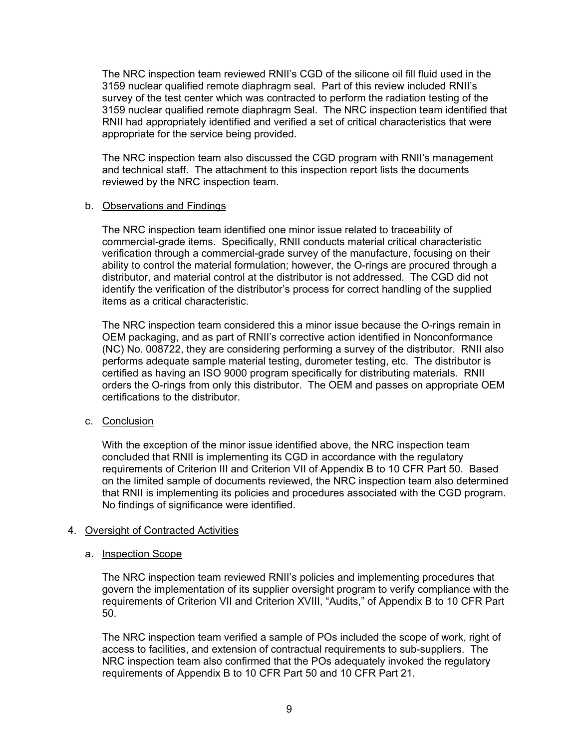The NRC inspection team reviewed RNII's CGD of the silicone oil fill fluid used in the 3159 nuclear qualified remote diaphragm seal. Part of this review included RNII's survey of the test center which was contracted to perform the radiation testing of the 3159 nuclear qualified remote diaphragm Seal. The NRC inspection team identified that RNII had appropriately identified and verified a set of critical characteristics that were appropriate for the service being provided.

The NRC inspection team also discussed the CGD program with RNII's management and technical staff. The attachment to this inspection report lists the documents reviewed by the NRC inspection team.

### b. Observations and Findings

The NRC inspection team identified one minor issue related to traceability of commercial-grade items. Specifically, RNII conducts material critical characteristic verification through a commercial-grade survey of the manufacture, focusing on their ability to control the material formulation; however, the O-rings are procured through a distributor, and material control at the distributor is not addressed. The CGD did not identify the verification of the distributor's process for correct handling of the supplied items as a critical characteristic.

The NRC inspection team considered this a minor issue because the O-rings remain in OEM packaging, and as part of RNII's corrective action identified in Nonconformance (NC) No. 008722, they are considering performing a survey of the distributor. RNII also performs adequate sample material testing, durometer testing, etc. The distributor is certified as having an ISO 9000 program specifically for distributing materials. RNII orders the O-rings from only this distributor. The OEM and passes on appropriate OEM certifications to the distributor.

## c. Conclusion

With the exception of the minor issue identified above, the NRC inspection team concluded that RNII is implementing its CGD in accordance with the regulatory requirements of Criterion III and Criterion VII of Appendix B to 10 CFR Part 50. Based on the limited sample of documents reviewed, the NRC inspection team also determined that RNII is implementing its policies and procedures associated with the CGD program. No findings of significance were identified.

## 4. Oversight of Contracted Activities

#### a. Inspection Scope

The NRC inspection team reviewed RNII's policies and implementing procedures that govern the implementation of its supplier oversight program to verify compliance with the requirements of Criterion VII and Criterion XVIII, "Audits," of Appendix B to 10 CFR Part 50.

The NRC inspection team verified a sample of POs included the scope of work, right of access to facilities, and extension of contractual requirements to sub-suppliers. The NRC inspection team also confirmed that the POs adequately invoked the regulatory requirements of Appendix B to 10 CFR Part 50 and 10 CFR Part 21.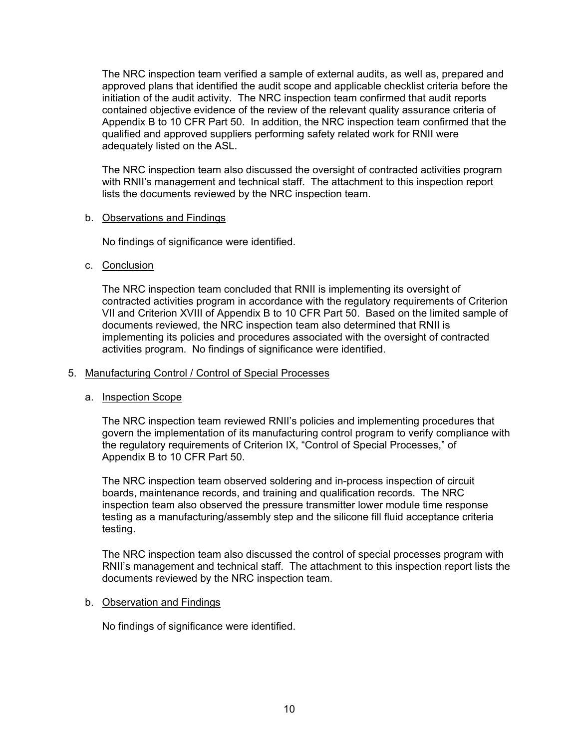The NRC inspection team verified a sample of external audits, as well as, prepared and approved plans that identified the audit scope and applicable checklist criteria before the initiation of the audit activity. The NRC inspection team confirmed that audit reports contained objective evidence of the review of the relevant quality assurance criteria of Appendix B to 10 CFR Part 50. In addition, the NRC inspection team confirmed that the qualified and approved suppliers performing safety related work for RNII were adequately listed on the ASL.

The NRC inspection team also discussed the oversight of contracted activities program with RNII's management and technical staff. The attachment to this inspection report lists the documents reviewed by the NRC inspection team.

#### b. Observations and Findings

No findings of significance were identified.

#### c. Conclusion

The NRC inspection team concluded that RNII is implementing its oversight of contracted activities program in accordance with the regulatory requirements of Criterion VII and Criterion XVIII of Appendix B to 10 CFR Part 50. Based on the limited sample of documents reviewed, the NRC inspection team also determined that RNII is implementing its policies and procedures associated with the oversight of contracted activities program. No findings of significance were identified.

#### 5. Manufacturing Control / Control of Special Processes

#### a. Inspection Scope

The NRC inspection team reviewed RNII's policies and implementing procedures that govern the implementation of its manufacturing control program to verify compliance with the regulatory requirements of Criterion IX, "Control of Special Processes," of Appendix B to 10 CFR Part 50.

The NRC inspection team observed soldering and in-process inspection of circuit boards, maintenance records, and training and qualification records. The NRC inspection team also observed the pressure transmitter lower module time response testing as a manufacturing/assembly step and the silicone fill fluid acceptance criteria testing.

The NRC inspection team also discussed the control of special processes program with RNII's management and technical staff. The attachment to this inspection report lists the documents reviewed by the NRC inspection team.

#### b. Observation and Findings

No findings of significance were identified.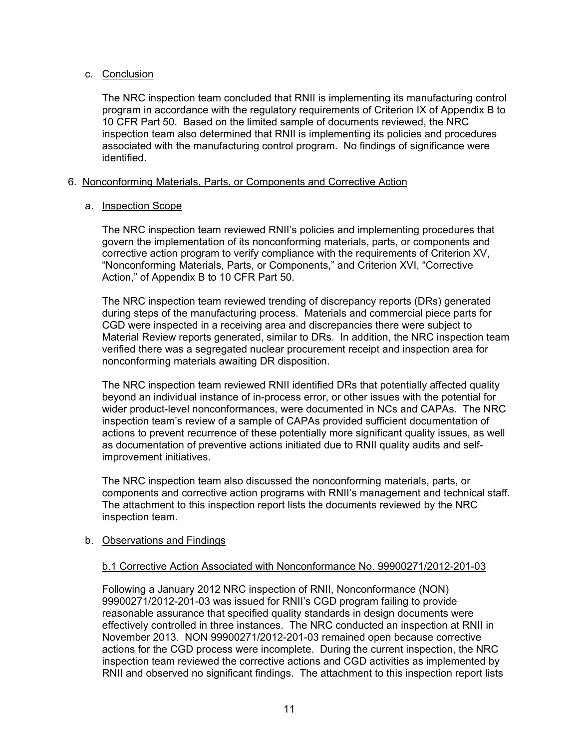## c. Conclusion

The NRC inspection team concluded that RNII is implementing its manufacturing control program in accordance with the regulatory requirements of Criterion IX of Appendix B to 10 CFR Part 50. Based on the limited sample of documents reviewed, the NRC inspection team also determined that RNII is implementing its policies and procedures associated with the manufacturing control program. No findings of significance were identified.

## 6. Nonconforming Materials, Parts, or Components and Corrective Action

### a. Inspection Scope

The NRC inspection team reviewed RNII's policies and implementing procedures that govern the implementation of its nonconforming materials, parts, or components and corrective action program to verify compliance with the requirements of Criterion XV, "Nonconforming Materials, Parts, or Components," and Criterion XVI, "Corrective Action," of Appendix B to 10 CFR Part 50.

The NRC inspection team reviewed trending of discrepancy reports (DRs) generated during steps of the manufacturing process. Materials and commercial piece parts for CGD were inspected in a receiving area and discrepancies there were subject to Material Review reports generated, similar to DRs. In addition, the NRC inspection team verified there was a segregated nuclear procurement receipt and inspection area for nonconforming materials awaiting DR disposition.

The NRC inspection team reviewed RNII identified DRs that potentially affected quality beyond an individual instance of in-process error, or other issues with the potential for wider product-level nonconformances, were documented in NCs and CAPAs. The NRC inspection team's review of a sample of CAPAs provided sufficient documentation of actions to prevent recurrence of these potentially more significant quality issues, as well as documentation of preventive actions initiated due to RNII quality audits and selfimprovement initiatives.

The NRC inspection team also discussed the nonconforming materials, parts, or components and corrective action programs with RNII's management and technical staff. The attachment to this inspection report lists the documents reviewed by the NRC inspection team.

#### b. Observations and Findings

#### b.1 Corrective Action Associated with Nonconformance No. 99900271/2012-201-03

 Following a January 2012 NRC inspection of RNII, Nonconformance (NON) 99900271/2012-201-03 was issued for RNII's CGD program failing to provide reasonable assurance that specified quality standards in design documents were effectively controlled in three instances. The NRC conducted an inspection at RNII in November 2013. NON 99900271/2012-201-03 remained open because corrective actions for the CGD process were incomplete. During the current inspection, the NRC inspection team reviewed the corrective actions and CGD activities as implemented by RNII and observed no significant findings. The attachment to this inspection report lists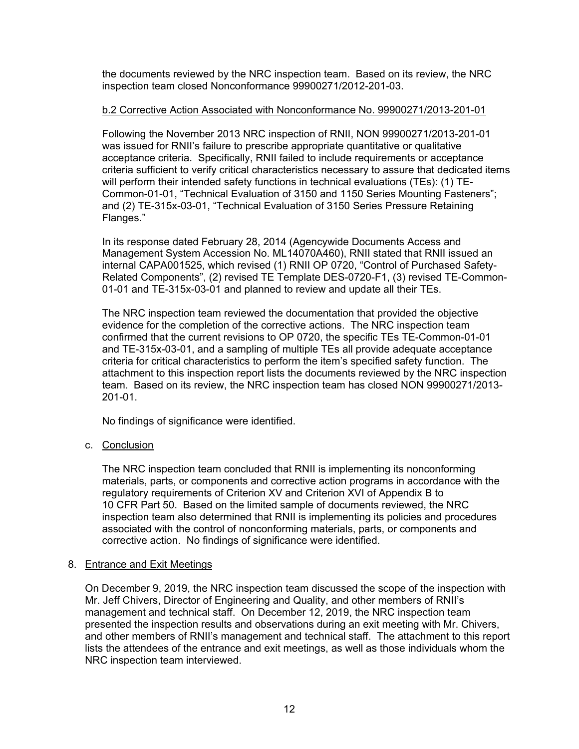the documents reviewed by the NRC inspection team. Based on its review, the NRC inspection team closed Nonconformance 99900271/2012-201-03.

## b.2 Corrective Action Associated with Nonconformance No. 99900271/2013-201-01

Following the November 2013 NRC inspection of RNII, NON 99900271/2013-201-01 was issued for RNII's failure to prescribe appropriate quantitative or qualitative acceptance criteria. Specifically, RNII failed to include requirements or acceptance criteria sufficient to verify critical characteristics necessary to assure that dedicated items will perform their intended safety functions in technical evaluations (TEs): (1) TE-Common-01-01, "Technical Evaluation of 3150 and 1150 Series Mounting Fasteners"; and (2) TE-315x-03-01, "Technical Evaluation of 3150 Series Pressure Retaining Flanges."

In its response dated February 28, 2014 (Agencywide Documents Access and Management System Accession No. ML14070A460), RNII stated that RNII issued an internal CAPA001525, which revised (1) RNII OP 0720, "Control of Purchased Safety-Related Components", (2) revised TE Template DES-0720-F1, (3) revised TE-Common-01-01 and TE-315x-03-01 and planned to review and update all their TEs.

The NRC inspection team reviewed the documentation that provided the objective evidence for the completion of the corrective actions. The NRC inspection team confirmed that the current revisions to OP 0720, the specific TEs TE-Common-01-01 and TE-315x-03-01, and a sampling of multiple TEs all provide adequate acceptance criteria for critical characteristics to perform the item's specified safety function. The attachment to this inspection report lists the documents reviewed by the NRC inspection team. Based on its review, the NRC inspection team has closed NON 99900271/2013- 201-01.

No findings of significance were identified.

## c. Conclusion

The NRC inspection team concluded that RNII is implementing its nonconforming materials, parts, or components and corrective action programs in accordance with the regulatory requirements of Criterion XV and Criterion XVI of Appendix B to 10 CFR Part 50. Based on the limited sample of documents reviewed, the NRC inspection team also determined that RNII is implementing its policies and procedures associated with the control of nonconforming materials, parts, or components and corrective action. No findings of significance were identified.

#### 8. Entrance and Exit Meetings

 On December 9, 2019, the NRC inspection team discussed the scope of the inspection with Mr. Jeff Chivers, Director of Engineering and Quality, and other members of RNII's management and technical staff. On December 12, 2019, the NRC inspection team presented the inspection results and observations during an exit meeting with Mr. Chivers, and other members of RNII's management and technical staff. The attachment to this report lists the attendees of the entrance and exit meetings, as well as those individuals whom the NRC inspection team interviewed.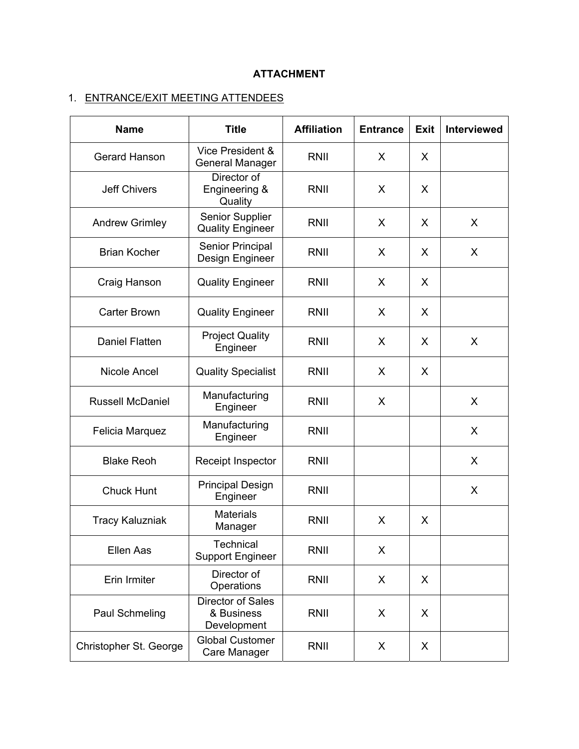# **ATTACHMENT**

# 1. ENTRANCE/EXIT MEETING ATTENDEES

| <b>Name</b>             | <b>Title</b>                                          | <b>Affiliation</b> | <b>Entrance</b> | <b>Exit</b> | <b>Interviewed</b> |
|-------------------------|-------------------------------------------------------|--------------------|-----------------|-------------|--------------------|
| <b>Gerard Hanson</b>    | Vice President &<br><b>General Manager</b>            | RNII               | X               | X           |                    |
| <b>Jeff Chivers</b>     | Director of<br>Engineering &<br>Quality               | RNII               | X               | X           |                    |
| <b>Andrew Grimley</b>   | Senior Supplier<br><b>Quality Engineer</b>            | RNII               | X               | X           | X                  |
| <b>Brian Kocher</b>     | <b>Senior Principal</b><br>Design Engineer            | RNII               | X               | X           | X                  |
| Craig Hanson            | <b>Quality Engineer</b>                               | <b>RNII</b>        | X               | X           |                    |
| <b>Carter Brown</b>     | <b>Quality Engineer</b>                               | RNII               | X               | X           |                    |
| <b>Daniel Flatten</b>   | <b>Project Quality</b><br>Engineer                    | RNII               | $\mathsf{X}$    | X           | X                  |
| Nicole Ancel            | <b>Quality Specialist</b>                             | RNII               | X               | X           |                    |
| <b>Russell McDaniel</b> | Manufacturing<br>Engineer                             | <b>RNII</b>        | X               |             | X                  |
| Felicia Marquez         | Manufacturing<br>Engineer                             | RNII               |                 |             | X                  |
| <b>Blake Reoh</b>       | Receipt Inspector                                     | RNII               |                 |             | X                  |
| <b>Chuck Hunt</b>       | <b>Principal Design</b><br>Engineer                   | RNII               |                 |             | X                  |
| <b>Tracy Kaluzniak</b>  | <b>Materials</b><br>Manager                           | RNII               | X               | X           |                    |
| <b>Ellen Aas</b>        | Technical<br><b>Support Engineer</b>                  | RNII               | X               |             |                    |
| Erin Irmiter            | Director of<br>Operations                             | RNII               | X               | X           |                    |
| Paul Schmeling          | <b>Director of Sales</b><br>& Business<br>Development | RNII               | X               | X           |                    |
| Christopher St. George  | <b>Global Customer</b><br>Care Manager                | RNII               | X               | X           |                    |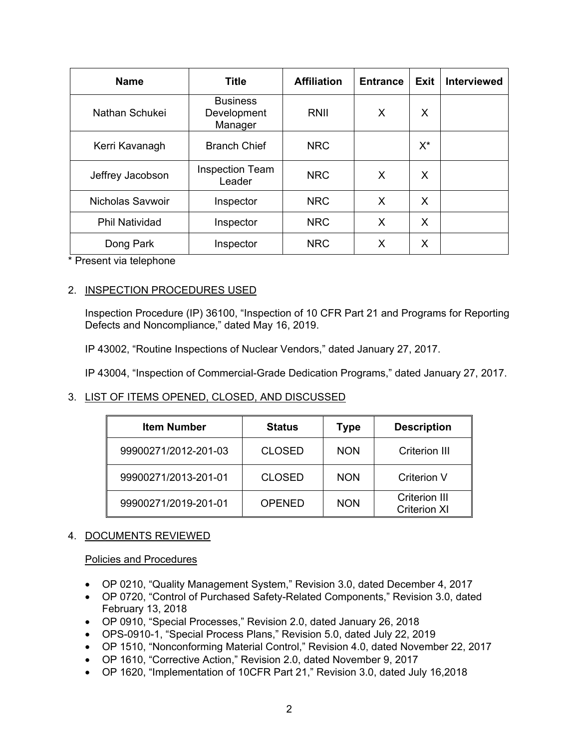| <b>Name</b>           | <b>Title</b>                              | <b>Affiliation</b> | <b>Entrance</b> | Exit  | <b>Interviewed</b> |
|-----------------------|-------------------------------------------|--------------------|-----------------|-------|--------------------|
| Nathan Schukei        | <b>Business</b><br>Development<br>Manager | RNII               | X               | X     |                    |
| Kerri Kavanagh        | <b>Branch Chief</b>                       | <b>NRC</b>         |                 | $X^*$ |                    |
| Jeffrey Jacobson      | <b>Inspection Team</b><br>Leader          | <b>NRC</b>         | X               | X     |                    |
| Nicholas Savwoir      | Inspector                                 | <b>NRC</b>         | X               | X     |                    |
| <b>Phil Natividad</b> | Inspector                                 | <b>NRC</b>         | X               | X     |                    |
| Dong Park             | Inspector                                 | <b>NRC</b>         | X               | X     |                    |

\* Present via telephone

## 2. INSPECTION PROCEDURES USED

Inspection Procedure (IP) 36100, "Inspection of 10 CFR Part 21 and Programs for Reporting Defects and Noncompliance," dated May 16, 2019.

IP 43002, "Routine Inspections of Nuclear Vendors," dated January 27, 2017.

IP 43004, "Inspection of Commercial-Grade Dedication Programs," dated January 27, 2017.

## 3. LIST OF ITEMS OPENED, CLOSED, AND DISCUSSED

| <b>Item Number</b>   | <b>Status</b> | <b>Type</b> | <b>Description</b>                          |  |
|----------------------|---------------|-------------|---------------------------------------------|--|
| 99900271/2012-201-03 | <b>CLOSED</b> | <b>NON</b>  | Criterion III                               |  |
| 99900271/2013-201-01 | <b>CLOSED</b> | <b>NON</b>  | <b>Criterion V</b>                          |  |
| 99900271/2019-201-01 | <b>OPENED</b> | <b>NON</b>  | <b>Criterion III</b><br><b>Criterion XI</b> |  |

## 4. DOCUMENTS REVIEWED

## Policies and Procedures

- OP 0210, "Quality Management System," Revision 3.0, dated December 4, 2017
- OP 0720, "Control of Purchased Safety-Related Components," Revision 3.0, dated February 13, 2018
- OP 0910, "Special Processes," Revision 2.0, dated January 26, 2018
- OPS-0910-1, "Special Process Plans," Revision 5.0, dated July 22, 2019
- OP 1510, "Nonconforming Material Control," Revision 4.0, dated November 22, 2017
- OP 1610, "Corrective Action," Revision 2.0, dated November 9, 2017
- OP 1620, "Implementation of 10CFR Part 21," Revision 3.0, dated July 16,2018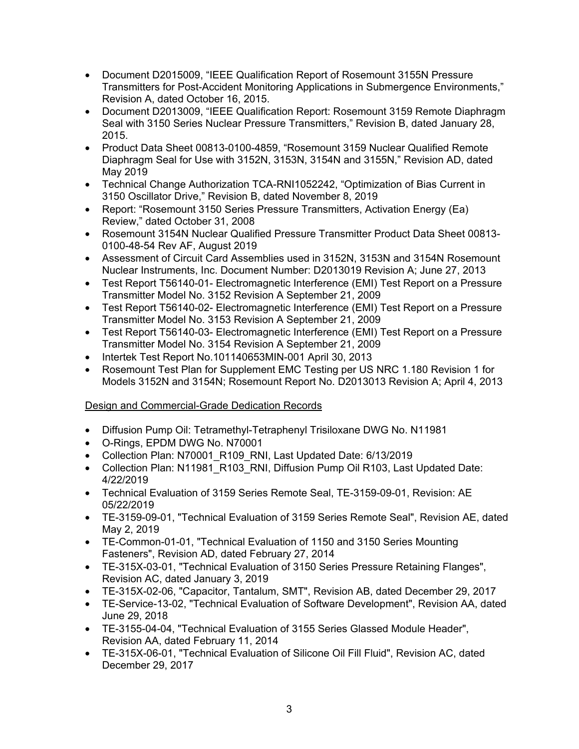- Document D2015009, "IEEE Qualification Report of Rosemount 3155N Pressure Transmitters for Post-Accident Monitoring Applications in Submergence Environments," Revision A, dated October 16, 2015.
- Document D2013009, "IEEE Qualification Report: Rosemount 3159 Remote Diaphragm Seal with 3150 Series Nuclear Pressure Transmitters," Revision B, dated January 28, 2015.
- Product Data Sheet 00813-0100-4859, "Rosemount 3159 Nuclear Qualified Remote Diaphragm Seal for Use with 3152N, 3153N, 3154N and 3155N," Revision AD, dated May 2019
- Technical Change Authorization TCA-RNI1052242, "Optimization of Bias Current in 3150 Oscillator Drive," Revision B, dated November 8, 2019
- Report: "Rosemount 3150 Series Pressure Transmitters, Activation Energy (Ea) Review," dated October 31, 2008
- Rosemount 3154N Nuclear Qualified Pressure Transmitter Product Data Sheet 00813- 0100-48-54 Rev AF, August 2019
- Assessment of Circuit Card Assemblies used in 3152N, 3153N and 3154N Rosemount Nuclear Instruments, Inc. Document Number: D2013019 Revision A; June 27, 2013
- Test Report T56140-01- Electromagnetic Interference (EMI) Test Report on a Pressure Transmitter Model No. 3152 Revision A September 21, 2009
- Test Report T56140-02- Electromagnetic Interference (EMI) Test Report on a Pressure Transmitter Model No. 3153 Revision A September 21, 2009
- Test Report T56140-03- Electromagnetic Interference (EMI) Test Report on a Pressure Transmitter Model No. 3154 Revision A September 21, 2009
- Intertek Test Report No.101140653MIN-001 April 30, 2013
- Rosemount Test Plan for Supplement EMC Testing per US NRC 1.180 Revision 1 for Models 3152N and 3154N; Rosemount Report No. D2013013 Revision A; April 4, 2013

# Design and Commercial-Grade Dedication Records

- Diffusion Pump Oil: Tetramethyl-Tetraphenyl Trisiloxane DWG No. N11981
- O-Rings, EPDM DWG No. N70001
- Collection Plan: N70001 R109 RNI, Last Updated Date: 6/13/2019
- Collection Plan: N11981 R103 RNI, Diffusion Pump Oil R103, Last Updated Date: 4/22/2019
- Technical Evaluation of 3159 Series Remote Seal, TE-3159-09-01, Revision: AE 05/22/2019
- TE-3159-09-01, "Technical Evaluation of 3159 Series Remote Seal", Revision AE, dated May 2, 2019
- TE-Common-01-01, "Technical Evaluation of 1150 and 3150 Series Mounting Fasteners", Revision AD, dated February 27, 2014
- TE-315X-03-01, "Technical Evaluation of 3150 Series Pressure Retaining Flanges", Revision AC, dated January 3, 2019
- TE-315X-02-06, "Capacitor, Tantalum, SMT", Revision AB, dated December 29, 2017
- TE-Service-13-02, "Technical Evaluation of Software Development", Revision AA, dated June 29, 2018
- TE-3155-04-04, "Technical Evaluation of 3155 Series Glassed Module Header", Revision AA, dated February 11, 2014
- TE-315X-06-01, "Technical Evaluation of Silicone Oil Fill Fluid", Revision AC, dated December 29, 2017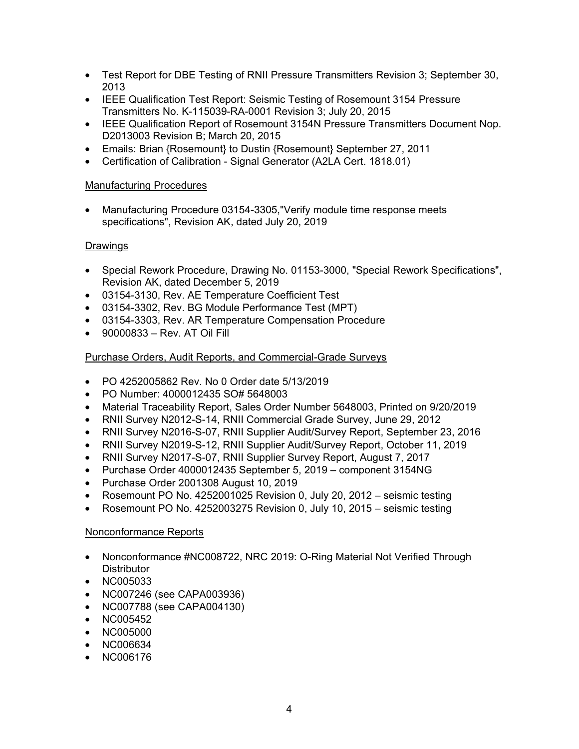- Test Report for DBE Testing of RNII Pressure Transmitters Revision 3; September 30, 2013
- IEEE Qualification Test Report: Seismic Testing of Rosemount 3154 Pressure Transmitters No. K-115039-RA-0001 Revision 3; July 20, 2015
- IEEE Qualification Report of Rosemount 3154N Pressure Transmitters Document Nop. D2013003 Revision B; March 20, 2015
- Emails: Brian {Rosemount} to Dustin {Rosemount} September 27, 2011
- Certification of Calibration Signal Generator (A2LA Cert. 1818.01)

### Manufacturing Procedures

• Manufacturing Procedure 03154-3305,"Verify module time response meets specifications", Revision AK, dated July 20, 2019

## Drawings

- Special Rework Procedure, Drawing No. 01153-3000, "Special Rework Specifications", Revision AK, dated December 5, 2019
- 03154-3130, Rev. AE Temperature Coefficient Test
- 03154-3302, Rev. BG Module Performance Test (MPT)
- 03154-3303, Rev. AR Temperature Compensation Procedure
- 90000833 Rev. AT Oil Fill

## Purchase Orders, Audit Reports, and Commercial-Grade Surveys

- PO 4252005862 Rev. No 0 Order date 5/13/2019
- PO Number: 4000012435 SO# 5648003
- Material Traceability Report, Sales Order Number 5648003, Printed on 9/20/2019
- RNII Survey N2012-S-14, RNII Commercial Grade Survey, June 29, 2012
- RNII Survey N2016-S-07, RNII Supplier Audit/Survey Report, September 23, 2016
- RNII Survey N2019-S-12, RNII Supplier Audit/Survey Report, October 11, 2019
- RNII Survey N2017-S-07, RNII Supplier Survey Report, August 7, 2017
- Purchase Order 4000012435 September 5, 2019 component 3154NG
- Purchase Order 2001308 August 10, 2019
- Rosemount PO No. 4252001025 Revision 0, July 20, 2012 seismic testing
- Rosemount PO No. 4252003275 Revision 0, July 10, 2015 seismic testing

## Nonconformance Reports

- Nonconformance #NC008722, NRC 2019: O-Ring Material Not Verified Through **Distributor**
- NC005033
- NC007246 (see CAPA003936)
- NC007788 (see CAPA004130)
- NC005452
- NC005000
- NC006634
- NC006176